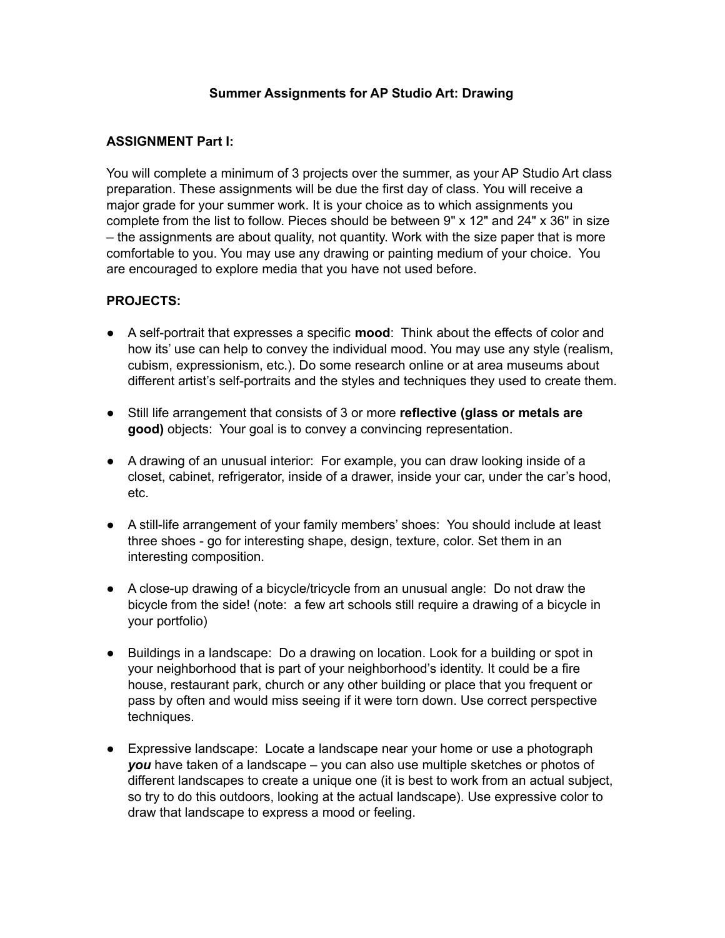#### **Summer Assignments for AP Studio Art: Drawing**

### **ASSIGNMENT Part I:**

You will complete a minimum of 3 projects over the summer, as your AP Studio Art class preparation. These assignments will be due the first day of class. You will receive a major grade for your summer work. It is your choice as to which assignments you complete from the list to follow. Pieces should be between 9" x 12" and 24" x 36" in size – the assignments are about quality, not quantity. Work with the size paper that is more comfortable to you. You may use any drawing or painting medium of your choice. You are encouraged to explore media that you have not used before.

#### **PROJECTS:**

- A self-portrait that expresses a specific **mood**: Think about the effects of color and how its' use can help to convey the individual mood. You may use any style (realism, cubism, expressionism, etc.). Do some research online or at area museums about different artist's self-portraits and the styles and techniques they used to create them.
- Still life arrangement that consists of 3 or more **reflective (glass or metals are good)** objects: Your goal is to convey a convincing representation.
- A drawing of an unusual interior: For example, you can draw looking inside of a closet, cabinet, refrigerator, inside of a drawer, inside your car, under the car's hood, etc.
- A still-life arrangement of your family members' shoes: You should include at least three shoes - go for interesting shape, design, texture, color. Set them in an interesting composition.
- A close-up drawing of a bicycle/tricycle from an unusual angle: Do not draw the bicycle from the side! (note: a few art schools still require a drawing of a bicycle in your portfolio)
- **●** Buildings in a landscape: Do a drawing on location. Look for a building or spot in your neighborhood that is part of your neighborhood's identity. It could be a fire house, restaurant park, church or any other building or place that you frequent or pass by often and would miss seeing if it were torn down. Use correct perspective techniques.
- Expressive landscape: Locate a landscape near your home or use a photograph *you* have taken of a landscape – you can also use multiple sketches or photos of different landscapes to create a unique one (it is best to work from an actual subject, so try to do this outdoors, looking at the actual landscape). Use expressive color to draw that landscape to express a mood or feeling.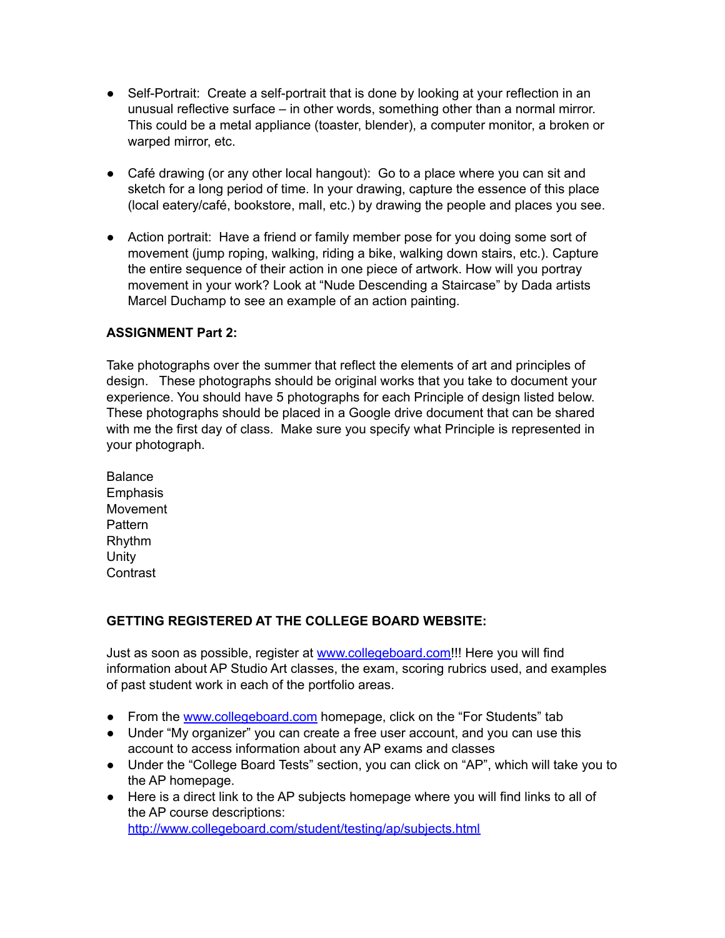- Self-Portrait: Create a self-portrait that is done by looking at your reflection in an unusual reflective surface – in other words, something other than a normal mirror. This could be a metal appliance (toaster, blender), a computer monitor, a broken or warped mirror, etc.
- Café drawing (or any other local hangout): Go to a place where you can sit and sketch for a long period of time. In your drawing, capture the essence of this place (local eatery/café, bookstore, mall, etc.) by drawing the people and places you see.
- Action portrait: Have a friend or family member pose for you doing some sort of movement (jump roping, walking, riding a bike, walking down stairs, etc.). Capture the entire sequence of their action in one piece of artwork. How will you portray movement in your work? Look at "Nude Descending a Staircase" by Dada artists Marcel Duchamp to see an example of an action painting.

## **ASSIGNMENT Part 2:**

Take photographs over the summer that reflect the elements of art and principles of design. These photographs should be original works that you take to document your experience. You should have 5 photographs for each Principle of design listed below. These photographs should be placed in a Google drive document that can be shared with me the first day of class. Make sure you specify what Principle is represented in your photograph.

Balance **Emphasis** Movement Pattern Rhythm **Unity Contrast** 

## **GETTING REGISTERED AT THE COLLEGE BOARD WEBSITE:**

Just as soon as possible, register at [www.collegeboard.com!](http://www.collegeboard.com/)!! Here you will find information about AP Studio Art classes, the exam, scoring rubrics used, and examples of past student work in each of the portfolio areas.

- From the [www.collegeboard.com](http://www.collegeboard.com/) homepage, click on the "For Students" tab
- Under "My organizer" you can create a free user account, and you can use this account to access information about any AP exams and classes
- Under the "College Board Tests" section, you can click on "AP", which will take you to the AP homepage.
- Here is a direct link to the AP subjects homepage where you will find links to all of the AP course descriptions: <http://www.collegeboard.com/student/testing/ap/subjects.html>